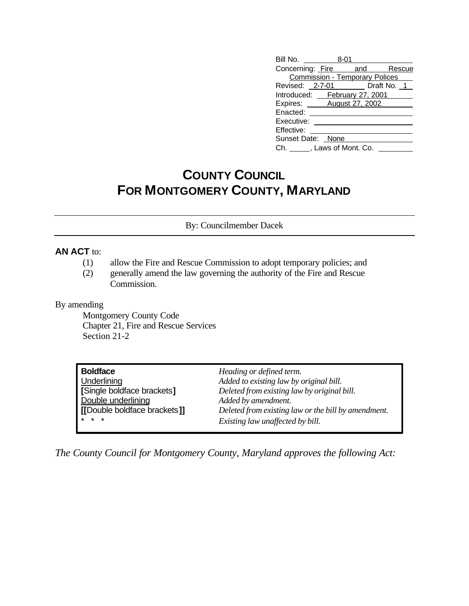| Bill No. 48-01                        |  |  |  |  |
|---------------------------------------|--|--|--|--|
| Concerning: Fire and Rescue           |  |  |  |  |
| <b>Commission - Temporary Polices</b> |  |  |  |  |
| Revised: 2-7-01 Draft No. 1           |  |  |  |  |
| Introduced: February 27, 2001         |  |  |  |  |
| Expires: <b>August 27, 2002</b>       |  |  |  |  |
| Enacted:                              |  |  |  |  |
| Executive:                            |  |  |  |  |
| Effective:                            |  |  |  |  |
| Sunset Date: None                     |  |  |  |  |
| Ch. , Laws of Mont. Co.               |  |  |  |  |

## **COUNTY COUNCIL FOR MONTGOMERY COUNTY, MARYLAND**

By: Councilmember Dacek

## **AN ACT** to:

- (1) allow the Fire and Rescue Commission to adopt temporary policies; and
- (2) generally amend the law governing the authority of the Fire and Rescue Commission.

## By amending

Montgomery County Code Chapter 21, Fire and Rescue Services Section 21-2

| Boldface                     | Heading or defined term.                            |
|------------------------------|-----------------------------------------------------|
| <b>Underlining</b>           | Added to existing law by original bill.             |
| Single boldface brackets]    | Deleted from existing law by original bill.         |
| Double underlining           | Added by amendment.                                 |
| [[Double boldface brackets]] | Deleted from existing law or the bill by amendment. |
| * * *                        | Existing law unaffected by bill.                    |

*The County Council for Montgomery County, Maryland approves the following Act:*